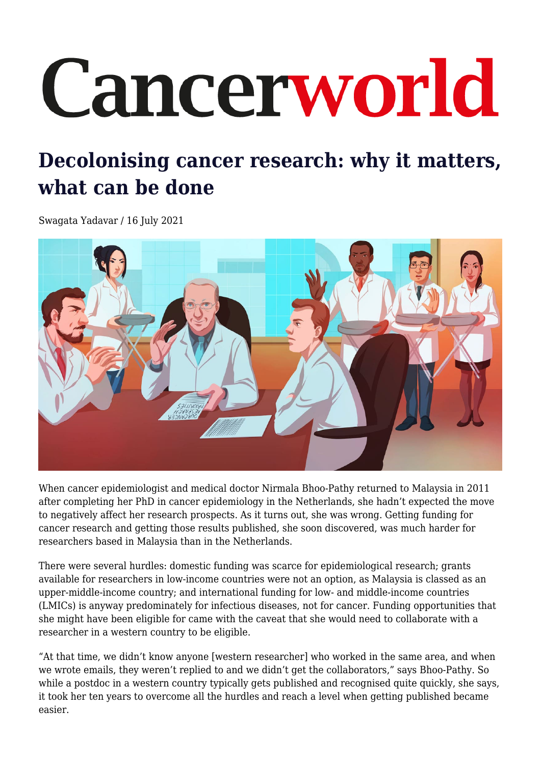# Cancerworld

# **Decolonising cancer research: why it matters, what can be done**

Swagata Yadavar / 16 July 2021



When cancer epidemiologist and medical doctor Nirmala Bhoo-Pathy returned to Malaysia in 2011 after completing her PhD in cancer epidemiology in the Netherlands, she hadn't expected the move to negatively affect her research prospects. As it turns out, she was wrong. Getting funding for cancer research and getting those results published, she soon discovered, was much harder for researchers based in Malaysia than in the Netherlands.

There were several hurdles: domestic funding was scarce for epidemiological research; grants available for researchers in low-income countries were not an option, as Malaysia is classed as an upper-middle-income country; and international funding for low- and middle-income countries (LMICs) is anyway predominately for infectious diseases, not for cancer. Funding opportunities that she might have been eligible for came with the caveat that she would need to collaborate with a researcher in a western country to be eligible.

"At that time, we didn't know anyone [western researcher] who worked in the same area, and when we wrote emails, they weren't replied to and we didn't get the collaborators," says Bhoo-Pathy. So while a postdoc in a western country typically gets published and recognised quite quickly, she says, it took her ten years to overcome all the hurdles and reach a level when getting published became easier.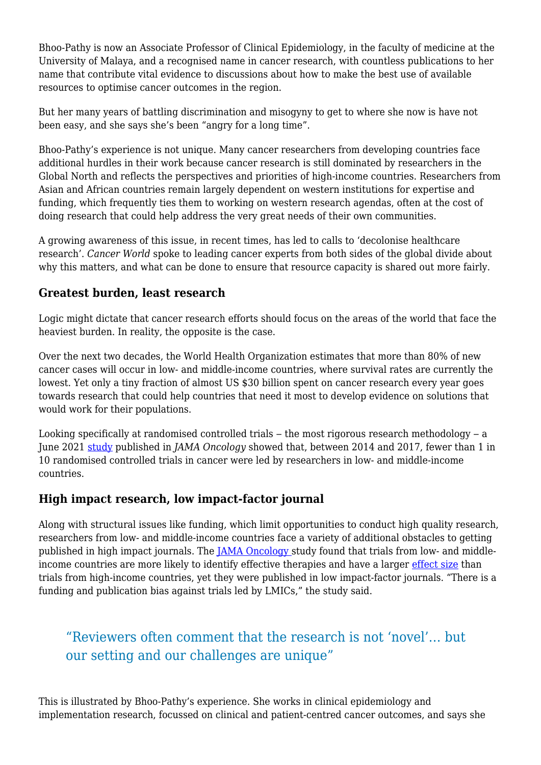Bhoo-Pathy is now an Associate Professor of Clinical Epidemiology, in the faculty of medicine at the University of Malaya, and a recognised name in cancer research, with countless publications to her name that contribute vital evidence to discussions about how to make the best use of available resources to optimise cancer outcomes in the region.

But her many years of battling discrimination and misogyny to get to where she now is have not been easy, and she says she's been "angry for a long time".

Bhoo-Pathy's experience is not unique. Many cancer researchers from developing countries face additional hurdles in their work because cancer research is still dominated by researchers in the Global North and reflects the perspectives and priorities of high-income countries. Researchers from Asian and African countries remain largely dependent on western institutions for expertise and funding, which frequently ties them to working on western research agendas, often at the cost of doing research that could help address the very great needs of their own communities.

A growing awareness of this issue, in recent times, has led to calls to 'decolonise healthcare research'. *Cancer World* spoke to leading cancer experts from both sides of the global divide about why this matters, and what can be done to ensure that resource capacity is shared out more fairly.

#### **Greatest burden, least research**

Logic might dictate that cancer research efforts should focus on the areas of the world that face the heaviest burden. In reality, the opposite is the case.

Over the next two decades, the World Health Organization estimates that more than 80% of new cancer cases will occur in low- and middle-income countries, where survival rates are currently the lowest. Yet only a tiny fraction of almost US \$30 billion spent on cancer research every year goes towards research that could help countries that need it most to develop evidence on solutions that would work for their populations.

Looking specifically at randomised controlled trials  $-$  the most rigorous research methodology  $-$  a June 2021 [study](https://jamanetwork.com/journals/jamaoncology/article-abstract/2775243) published in *JAMA Oncology* showed that, between 2014 and 2017, fewer than 1 in 10 randomised controlled trials in cancer were led by researchers in low- and middle-income countries.

#### **High impact research, low impact-factor journal**

Along with structural issues like funding, which limit opportunities to conduct high quality research, researchers from low- and middle-income countries face a variety of additional obstacles to getting published in high impact journals. The [JAMA Oncology s](https://jamanetwork.com/journals/jamaoncology/article-abstract/2775243)tudy found that trials from low- and middleincome countries are more likely to identify effective therapies and have a larger [effect size](https://www.ncbi.nlm.nih.gov/pmc/articles/PMC3444174/) than trials from high-income countries, yet they were published in low impact-factor journals. "There is a funding and publication bias against trials led by LMICs," the study said.

# "Reviewers often comment that the research is not 'novel'… but our setting and our challenges are unique"

This is illustrated by Bhoo-Pathy's experience. She works in clinical epidemiology and implementation research, focussed on clinical and patient-centred cancer outcomes, and says she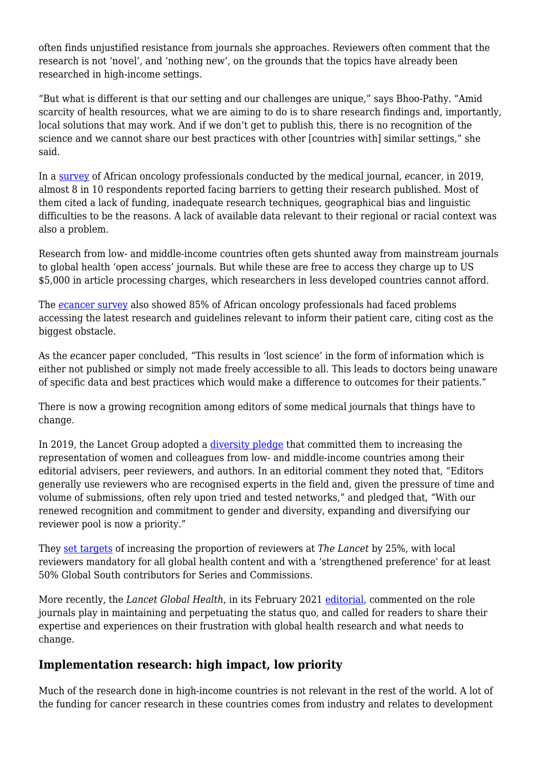often finds unjustified resistance from journals she approaches. Reviewers often comment that the research is not 'novel', and 'nothing new', on the grounds that the topics have already been researched in high-income settings.

"But what is different is that our setting and our challenges are unique," says Bhoo-Pathy. "Amid scarcity of health resources, what we are aiming to do is to share research findings and, importantly, local solutions that may work. And if we don't get to publish this, there is no recognition of the science and we cannot share our best practices with other [countries with] similar settings," she said.

In a [survey](https://ecancer.org/en/journal/editorial/93-the-current-state-of-african-oncology-research-publication-how-to-increase-africas-research-impact#ref15) of African oncology professionals conducted by the medical journal, *e*cancer, in 2019, almost 8 in 10 respondents reported facing barriers to getting their research published. Most of them cited a lack of funding, inadequate research techniques, geographical bias and linguistic difficulties to be the reasons. A lack of available data relevant to their regional or racial context was also a problem.

Research from low- and middle-income countries often gets shunted away from mainstream journals to global health 'open access' journals. But while these are free to access they charge up to US \$5,000 in article processing charges, which researchers in less developed countries cannot afford.

The *[e](https://ecancer.org/en/journal/editorial/93-the-current-state-of-african-oncology-research-publication-how-to-increase-africas-research-impact#ref15)*[cancer survey](https://ecancer.org/en/journal/editorial/93-the-current-state-of-african-oncology-research-publication-how-to-increase-africas-research-impact#ref15) also showed 85% of African oncology professionals had faced problems accessing the latest research and guidelines relevant to inform their patient care, citing cost as the biggest obstacle.

As the *e*cancer paper concluded, "This results in 'lost science' in the form of information which is either not published or simply not made freely accessible to all. This leads to doctors being unaware of specific data and best practices which would make a difference to outcomes for their patients."

There is now a growing recognition among editors of some medical journals that things have to change.

In 2019, the Lancet Group adopted a [diversity pledge](https://www.thelancet.com/diversity) that committed them to increasing the representation of women and colleagues from low- and middle-income countries among their editorial advisers, peer reviewers, and authors. In an editorial comment they noted that, "Editors generally use reviewers who are recognised experts in the field and, given the pressure of time and volume of submissions, often rely upon tried and tested networks," and pledged that, "With our renewed recognition and commitment to gender and diversity, expanding and diversifying our reviewer pool is now a priority."

They [set targets](https://www.thelancet.com/journals/lancet/article/PIIS0140-6736(19)30289-2/fulltext) of increasing the proportion of reviewers at *The Lancet* by 25%, with local reviewers mandatory for all global health content and with a 'strengthened preference' for at least 50% Global South contributors for Series and Commissions.

More recently, the *Lancet Global Health*, in its February 2021 [editorial](https://www.thelancet.com/journals/langlo/article/PIIS2214-109X(21)00004-8/fulltext?rss=yes), commented on the role journals play in maintaining and perpetuating the status quo, and called for readers to share their expertise and experiences on their frustration with global health research and what needs to change.

#### **Implementation research: high impact, low priority**

Much of the research done in high-income countries is not relevant in the rest of the world. A lot of the funding for cancer research in these countries comes from industry and relates to development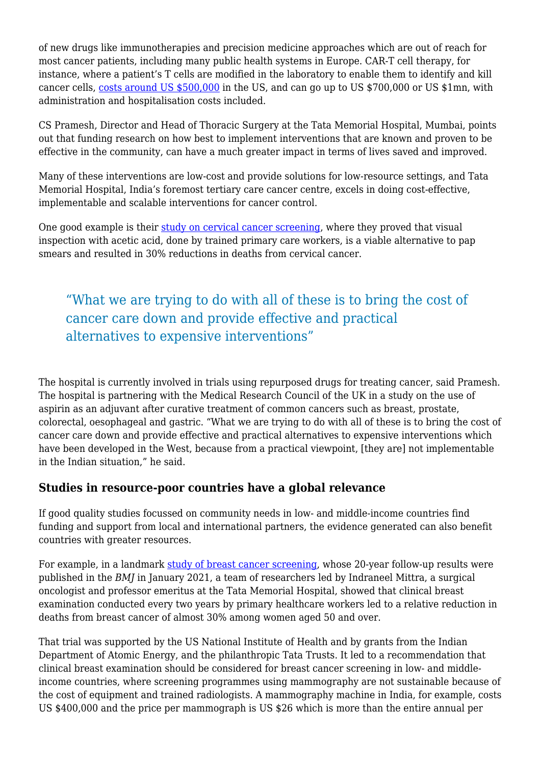of new drugs like immunotherapies and precision medicine approaches which are out of reach for most cancer patients, including many public health systems in Europe. CAR-T cell therapy, for instance, where a patient's T cells are modified in the laboratory to enable them to identify and kill cancer cells, [costs around US \\$500,000](https://www.pharmacytimes.com/view/study-finds-total-cost-of-care-for-car-t-post-treatment-events-can-exceed-1-million) in the US, and can go up to US \$700,000 or US \$1mn, with administration and hospitalisation costs included.

CS Pramesh, Director and Head of Thoracic Surgery at the Tata Memorial Hospital, Mumbai, points out that funding research on how best to implement interventions that are known and proven to be effective in the community, can have a much greater impact in terms of lives saved and improved.

Many of these interventions are low-cost and provide solutions for low-resource settings, and Tata Memorial Hospital, India's foremost tertiary care cancer centre, excels in doing cost-effective, implementable and scalable interventions for cancer control.

One good example is their [study on cervical cancer screening,](https://ascopubs.org/doi/abs/10.1200/jco.2013.31.18_suppl.2) where they proved that visual inspection with acetic acid, done by trained primary care workers, is a viable alternative to pap smears and resulted in 30% reductions in deaths from cervical cancer.

# "What we are trying to do with all of these is to bring the cost of cancer care down and provide effective and practical alternatives to expensive interventions"

The hospital is currently involved in trials using repurposed drugs for treating cancer, said Pramesh. The hospital is partnering with the Medical Research Council of the UK in a study on the use of aspirin as an adjuvant after curative treatment of common cancers such as breast, prostate, colorectal, oesophageal and gastric. "What we are trying to do with all of these is to bring the cost of cancer care down and provide effective and practical alternatives to expensive interventions which have been developed in the West, because from a practical viewpoint, [they are] not implementable in the Indian situation," he said.

#### **Studies in resource-poor countries have a global relevance**

If good quality studies focussed on community needs in low- and middle-income countries find funding and support from local and international partners, the evidence generated can also benefit countries with greater resources.

For example, in a landmark [study of breast cancer screening,](https://www.bmj.com/content/372/bmj.n256) whose 20-year follow-up results were published in the *BMJ* in January 2021, a team of researchers led by Indraneel Mittra, a surgical oncologist and professor emeritus at the Tata Memorial Hospital, showed that clinical breast examination conducted every two years by primary healthcare workers led to a relative reduction in deaths from breast cancer of almost 30% among women aged 50 and over.

That trial was supported by the US National Institute of Health and by grants from the Indian Department of Atomic Energy, and the philanthropic Tata Trusts. It led to a recommendation that clinical breast examination should be considered for breast cancer screening in low- and middleincome countries, where screening programmes using mammography are not sustainable because of the cost of equipment and trained radiologists. A mammography machine in India, for example, costs US \$400,000 and the price per mammograph is US \$26 which is more than the entire annual per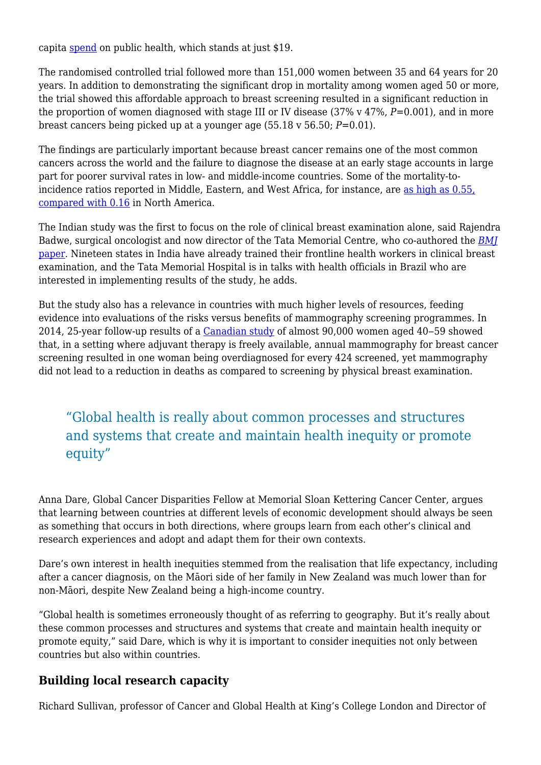capita [spend](https://data.worldbank.org/indicator/SH.XPD.GHED.PC.CD?locations=IN) on public health, which stands at just \$19.

The randomised controlled trial followed more than 151,000 women between 35 and 64 years for 20 years. In addition to demonstrating the significant drop in mortality among women aged 50 or more, the trial showed this affordable approach to breast screening resulted in a significant reduction in the proportion of women diagnosed with stage III or IV disease (37% v 47%, *P*=0.001), and in more breast cancers being picked up at a younger age (55.18 v 56.50; *P*=0.01).

The findings are particularly important because breast cancer remains one of the most common cancers across the world and the failure to diagnose the disease at an early stage accounts in large part for poorer survival rates in low- and middle-income countries. Some of the mortality-toincidence ratios reported in Middle, Eastern, and West Africa, for instance, are [as high as 0.55,](https://www.sciencedirect.com/science/article/abs/pii/S0272271217301166?via%3Dihub) [compared with 0.16](https://www.sciencedirect.com/science/article/abs/pii/S0272271217301166?via%3Dihub) in North America.

The Indian study was the first to focus on the role of clinical breast examination alone, said Rajendra Badwe, surgical oncologist and now director of the Tata Memorial Centre, who co-authored the *[BMJ](https://www.bmj.com/content/372/bmj.n256)* [paper.](https://www.bmj.com/content/372/bmj.n256) Nineteen states in India have already trained their frontline health workers in clinical breast examination, and the Tata Memorial Hospital is in talks with health officials in Brazil who are interested in implementing results of the study, he adds.

But the study also has a relevance in countries with much higher levels of resources, feeding evidence into evaluations of the risks versus benefits of mammography screening programmes. In 2014, 25-year follow-up results of a [Canadian study](https://www.bmj.com/content/348/bmj.g366) of almost 90,000 women aged 40–59 showed that, in a setting where adjuvant therapy is freely available, annual mammography for breast cancer screening resulted in one woman being overdiagnosed for every 424 screened, yet mammography did not lead to a reduction in deaths as compared to screening by physical breast examination.

# "Global health is really about common processes and structures and systems that create and maintain health inequity or promote equity"

Anna Dare, Global Cancer Disparities Fellow at Memorial Sloan Kettering Cancer Center, argues that learning between countries at different levels of economic development should always be seen as something that occurs in both directions, where groups learn from each other's clinical and research experiences and adopt and adapt them for their own contexts.

Dare's own interest in health inequities stemmed from the realisation that life expectancy, including after a cancer diagnosis, on the Māori side of her family in New Zealand was much lower than for non-Māori, despite New Zealand being a high-income country.

"Global health is sometimes erroneously thought of as referring to geography. But it's really about these common processes and structures and systems that create and maintain health inequity or promote equity," said Dare, which is why it is important to consider inequities not only between countries but also within countries.

#### **Building local research capacity**

Richard Sullivan, professor of Cancer and Global Health at King's College London and Director of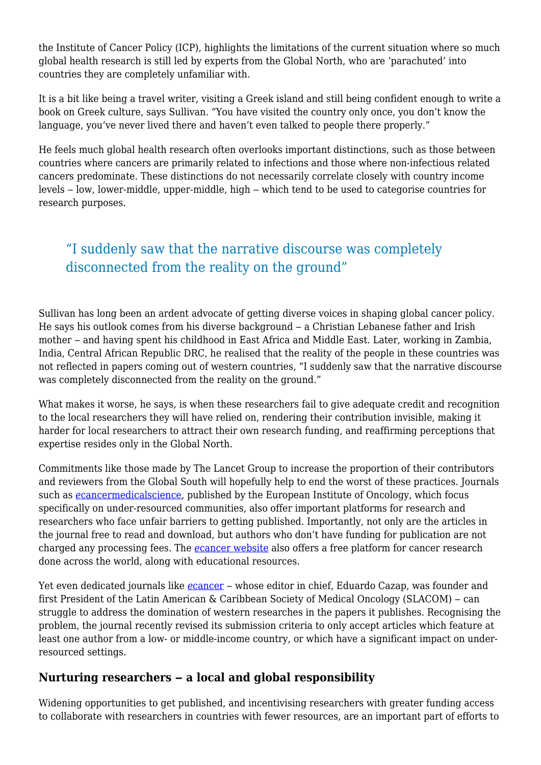the Institute of Cancer Policy (ICP), highlights the limitations of the current situation where so much global health research is still led by experts from the Global North, who are 'parachuted' into countries they are completely unfamiliar with.

It is a bit like being a travel writer, visiting a Greek island and still being confident enough to write a book on Greek culture, says Sullivan. "You have visited the country only once, you don't know the language, you've never lived there and haven't even talked to people there properly."

He feels much global health research often overlooks important distinctions, such as those between countries where cancers are primarily related to infections and those where non-infectious related cancers predominate. These distinctions do not necessarily correlate closely with country income levels – low, lower-middle, upper-middle, high – which tend to be used to categorise countries for research purposes.

# "I suddenly saw that the narrative discourse was completely disconnected from the reality on the ground"

Sullivan has long been an ardent advocate of getting diverse voices in shaping global cancer policy. He says his outlook comes from his diverse background – a Christian Lebanese father and Irish mother – and having spent his childhood in East Africa and Middle East. Later, working in Zambia, India, Central African Republic DRC, he realised that the reality of the people in these countries was not reflected in papers coming out of western countries, "I suddenly saw that the narrative discourse was completely disconnected from the reality on the ground."

What makes it worse, he says, is when these researchers fail to give adequate credit and recognition to the local researchers they will have relied on, rendering their contribution invisible, making it harder for local researchers to attract their own research funding, and reaffirming perceptions that expertise resides only in the Global North.

Commitments like those made by The Lancet Group to increase the proportion of their contributors and reviewers from the Global South will hopefully help to end the worst of these practices. Journals such as *[e](https://ecancer.org/en/journal)*[cancermedicalscience,](https://ecancer.org/en/journal) published by the European Institute of Oncology, which focus specifically on under-resourced communities, also offer important platforms for research and researchers who face unfair barriers to getting published. Importantly, not only are the articles in the journal free to read and download, but authors who don't have funding for publication are not charged any processing fees. The *[e](https://ecancer.org/en/)*[cancer website](https://ecancer.org/en/) also offers a free platform for cancer research done across the world, along with educational resources.

Y[e](https://ecancer.org/en/journal)t even dedicated journals like *e[cancer](https://ecancer.org/en/journal)* – whose editor in chief, Eduardo Cazap, was founder and first President of the Latin American & Caribbean Society of Medical Oncology (SLACOM) – can struggle to address the domination of western researches in the papers it publishes. Recognising the problem, the journal recently revised its submission criteria to only accept articles which feature at least one author from a low- or middle-income country, or which have a significant impact on underresourced settings.

#### **Nurturing researchers ‒ a local and global responsibility**

Widening opportunities to get published, and incentivising researchers with greater funding access to collaborate with researchers in countries with fewer resources, are an important part of efforts to